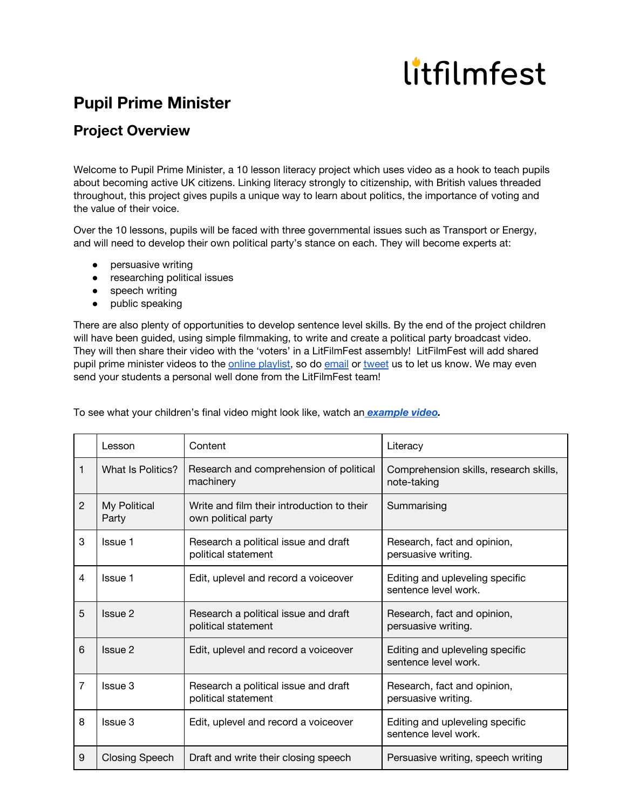## litfilmfest

## **Pupil Prime Minister**

## **Project Overview**

Welcome to Pupil Prime Minister, a 10 lesson literacy project which uses video as a hook to teach pupils about becoming active UK citizens. Linking literacy strongly to citizenship, with British values threaded throughout, this project gives pupils a unique way to learn about politics, the importance of voting and the value of their voice.

Over the 10 lessons, pupils will be faced with three governmental issues such as Transport or Energy, and will need to develop their own political party's stance on each. They will become experts at:

- persuasive writing
- researching political issues
- speech writing
- public speaking

There are also plenty of opportunities to develop sentence level skills. By the end of the project children will have been guided, using simple filmmaking, to write and create a political party broadcast video. They will then share their video with the 'voters' in a LitFilmFest assembly! LitFilmFest will add shared pupil prime minister videos to the online [playlist](https://www.youtube.com/playlist?list=PL_odjZ7bN8F7bqieuY9lpmPb1jBB_5xOi), so do [email](mailto:info@litfilmfest.com) or [tweet](https://twitter.com/LitFilmFest) us to let us know. We may even send your students a personal well done from the LitFilmFest team!

|                | Lesson                | Content                                                           | Literacy                                                |
|----------------|-----------------------|-------------------------------------------------------------------|---------------------------------------------------------|
| 1              | What Is Politics?     | Research and comprehension of political<br>machinery              | Comprehension skills, research skills,<br>note-taking   |
| $\overline{2}$ | My Political<br>Party | Write and film their introduction to their<br>own political party | Summarising                                             |
| 3              | <b>Issue 1</b>        | Research a political issue and draft<br>political statement       | Research, fact and opinion,<br>persuasive writing.      |
| 4              | Issue 1               | Edit, uplevel and record a voiceover                              | Editing and upleveling specific<br>sentence level work. |
| 5              | Issue 2               | Research a political issue and draft<br>political statement       | Research, fact and opinion,<br>persuasive writing.      |
| 6              | Issue 2               | Edit, uplevel and record a voiceover                              | Editing and upleveling specific<br>sentence level work. |
| $\overline{7}$ | Issue 3               | Research a political issue and draft<br>political statement       | Research, fact and opinion,<br>persuasive writing.      |
| 8              | Issue 3               | Edit, uplevel and record a voiceover                              | Editing and upleveling specific<br>sentence level work. |
| 9              | <b>Closing Speech</b> | Draft and write their closing speech                              | Persuasive writing, speech writing                      |

To see what your children's final video might look like, watch an *[example](https://www.youtube.com/playlist?list=PL_odjZ7bN8F7bqieuY9lpmPb1jBB_5xOi) video.*